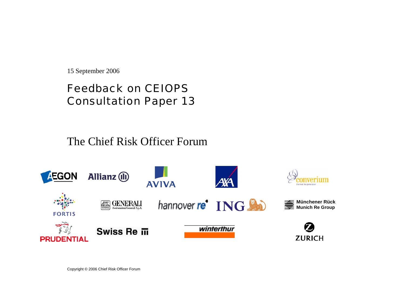15 September 2006

# Feedback on CEIOPS Consultation Paper 13

The Chief Risk Officer Forum

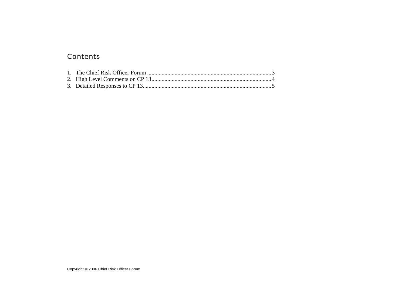### Contents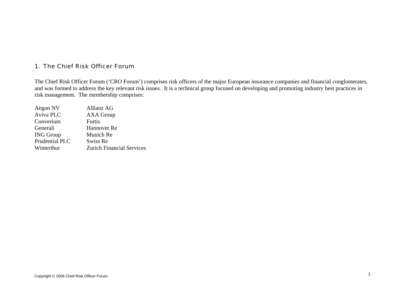#### 1. The Chief Risk Officer Forum

The Chief Risk Officer Forum ('CRO Forum') comprises risk officers of the major European insurance companies and financial conglomerates, and was formed to address the key relevant risk issues. It is a technical group focused on developing and promoting industry best practices in risk management. The membership comprises:

| Aegon NV         | Allianz AG                       |
|------------------|----------------------------------|
| Aviva PLC        | <b>AXA Group</b>                 |
| Converium        | Fortis                           |
| Generali         | Hannover Re                      |
| <b>ING Group</b> | Munich Re                        |
| Prudential PLC   | Swiss Re                         |
| Winterthur       | <b>Zurich Financial Services</b> |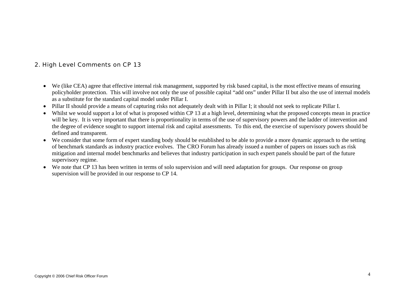#### 2. High Level Comments on CP 13

- We (like CEA) agree that effective internal risk management, supported by risk based capital, is the most effective means of ensuring policyholder protection. This will involve not only the use of possible capital "add ons" under Pillar II but also the use of internal models as a substitute for the standard capital model under Pillar I.
- Pillar II should provide a means of capturing risks not adequately dealt with in Pillar I; it should not seek to replicate Pillar I.
- •Whilst we would support a lot of what is proposed within CP 13 at a high level, determining what the proposed concepts mean in practice will be key. It is very important that there is proportionality in terms of the use of supervisory powers and the ladder of intervention and the degree of evidence sought to support internal risk and capital assessments. To this end, the exercise of supervisory powers should be defined and transparent.
- We consider that some form of expert standing body should be established to be able to provide a more dynamic approach to the setting of benchmark standards as industry practice evolves. The CRO Forum has already issued a number of papers on issues such as risk mitigation and internal model benchmarks and believes that industry participation in such expert panels should be part of the future supervisory regime.
- We note that CP 13 has been written in terms of solo supervision and will need adaptation for groups. Our response on group supervision will be provided in our response to CP 14.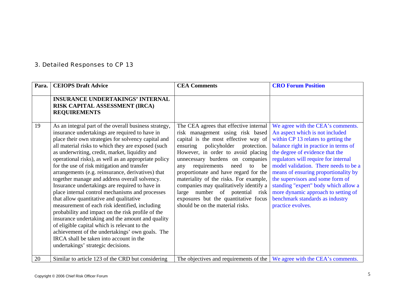## 3. Detailed Responses to CP 13

| Para. | <b>CEIOPS Draft Advice</b>                                                                                                                                                                                                                                                                                                                                                                                                                                                                                                                                                                                                                                                                                                                                                                                                                                                                                                                                                         | <b>CEA Comments</b>                                                                                                                                                                                                                                                                                                                                                                                                                                                                                                              | <b>CRO Forum Position</b>                                                                                                                                                                                                                                                                                                                                                                                                                                                                   |
|-------|------------------------------------------------------------------------------------------------------------------------------------------------------------------------------------------------------------------------------------------------------------------------------------------------------------------------------------------------------------------------------------------------------------------------------------------------------------------------------------------------------------------------------------------------------------------------------------------------------------------------------------------------------------------------------------------------------------------------------------------------------------------------------------------------------------------------------------------------------------------------------------------------------------------------------------------------------------------------------------|----------------------------------------------------------------------------------------------------------------------------------------------------------------------------------------------------------------------------------------------------------------------------------------------------------------------------------------------------------------------------------------------------------------------------------------------------------------------------------------------------------------------------------|---------------------------------------------------------------------------------------------------------------------------------------------------------------------------------------------------------------------------------------------------------------------------------------------------------------------------------------------------------------------------------------------------------------------------------------------------------------------------------------------|
|       | <b>INSURANCE UNDERTAKINGS' INTERNAL</b><br>RISK CAPITAL ASSESSMENT (IRCA)<br><b>REQUIREMENTS</b>                                                                                                                                                                                                                                                                                                                                                                                                                                                                                                                                                                                                                                                                                                                                                                                                                                                                                   |                                                                                                                                                                                                                                                                                                                                                                                                                                                                                                                                  |                                                                                                                                                                                                                                                                                                                                                                                                                                                                                             |
| 19    | As an integral part of the overall business strategy,<br>insurance undertakings are required to have in<br>place their own strategies for solvency capital and<br>all material risks to which they are exposed (such<br>as underwriting, credit, market, liquidity and<br>operational risks), as well as an appropriate policy<br>for the use of risk mitigation and transfer<br>arrangements (e.g. reinsurance, derivatives) that<br>together manage and address overall solvency.<br>Insurance undertakings are required to have in<br>place internal control mechanisms and processes<br>that allow quantitative and qualitative<br>measurement of each risk identified, including<br>probability and impact on the risk profile of the<br>insurance undertaking and the amount and quality<br>of eligible capital which is relevant to the<br>achievement of the undertakings' own goals. The<br>IRCA shall be taken into account in the<br>undertakings' strategic decisions. | The CEA agrees that effective internal<br>risk management using risk based<br>capital is the most effective way of<br>policyholder<br>ensuring<br>protection.<br>However, in order to avoid placing<br>unnecessary burdens on companies<br>requirements<br>need<br>to<br>be<br>any<br>proportionate and have regard for the<br>materiality of the risks. For example,<br>companies may qualitatively identify a<br>large number of potential<br>risk<br>exposures but the quantitative focus<br>should be on the material risks. | We agree with the CEA's comments.<br>An aspect which is not included<br>within CP 13 relates to getting the<br>balance right in practice in terms of<br>the degree of evidence that the<br>regulators will require for internal<br>model validation. There needs to be a<br>means of ensuring proportionality by<br>the supervisors and some form of<br>standing "expert" body which allow a<br>more dynamic approach to setting of<br>benchmark standards as industry<br>practice evolves. |
| 20    | Similar to article 123 of the CRD but considering                                                                                                                                                                                                                                                                                                                                                                                                                                                                                                                                                                                                                                                                                                                                                                                                                                                                                                                                  | The objectives and requirements of the $\vert$ We agree with the CEA's comments.                                                                                                                                                                                                                                                                                                                                                                                                                                                 |                                                                                                                                                                                                                                                                                                                                                                                                                                                                                             |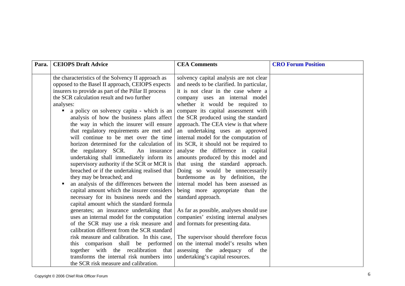| Para. | <b>CEIOPS Draft Advice</b>                                                            | <b>CEA Comments</b>                                                        | <b>CRO Forum Position</b> |
|-------|---------------------------------------------------------------------------------------|----------------------------------------------------------------------------|---------------------------|
|       |                                                                                       |                                                                            |                           |
|       | the characteristics of the Solvency II approach as                                    | solvency capital analysis are not clear                                    |                           |
|       | opposed to the Basel II approach, CEIOPS expects                                      | and needs to be clarified. In particular,                                  |                           |
|       | insurers to provide as part of the Pillar II process                                  | it is not clear in the case where a                                        |                           |
|       | the SCR calculation result and two further                                            | company uses an internal model                                             |                           |
|       | analyses:                                                                             | whether it would be required to                                            |                           |
|       | a policy on solvency capita - which is an                                             | compare its capital assessment with<br>the SCR produced using the standard |                           |
|       | analysis of how the business plans affect<br>the way in which the insurer will ensure | approach. The CEA view is that where                                       |                           |
|       | that regulatory requirements are met and                                              | an undertaking uses an approved                                            |                           |
|       | will continue to be met over the time                                                 | internal model for the computation of                                      |                           |
|       | horizon determined for the calculation of                                             | its SCR, it should not be required to                                      |                           |
|       | the regulatory SCR. An insurance                                                      | analyse the difference in capital                                          |                           |
|       | undertaking shall immediately inform its                                              | amounts produced by this model and                                         |                           |
|       | supervisory authority if the SCR or MCR is                                            | that using the standard approach.                                          |                           |
|       | breached or if the undertaking realised that                                          | Doing so would be unnecessarily                                            |                           |
|       | they may be breached; and                                                             | burdensome as by definition, the                                           |                           |
|       | an analysis of the differences between the                                            | internal model has been assessed as                                        |                           |
|       | capital amount which the insurer considers                                            | being more appropriate than the                                            |                           |
|       | necessary for its business needs and the                                              | standard approach.                                                         |                           |
|       | capital amount which the standard formula                                             |                                                                            |                           |
|       | generates; an insurance undertaking that                                              | As far as possible, analyses should use                                    |                           |
|       | uses an internal model for the computation                                            | companies' existing internal analyses                                      |                           |
|       | of the SCR may use a risk measure and                                                 | and formats for presenting data.                                           |                           |
|       | calibration different from the SCR standard                                           |                                                                            |                           |
|       | risk measure and calibration. In this case,                                           | The supervisor should therefore focus                                      |                           |
|       | this comparison shall be performed                                                    | on the internal model's results when                                       |                           |
|       | together with the recalibration that                                                  | assessing the adequacy of<br>the                                           |                           |
|       | transforms the internal risk numbers into                                             | undertaking's capital resources.                                           |                           |
|       | the SCR risk measure and calibration.                                                 |                                                                            |                           |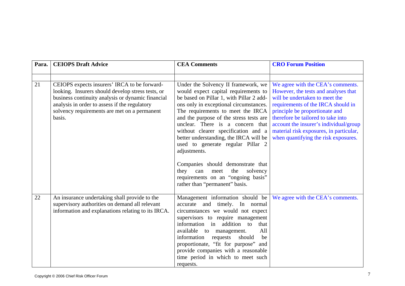| Para. | <b>CEIOPS Draft Advice</b>                                                                                                                                                                                                                                        | <b>CEA Comments</b>                                                                                                                                                                                                                                                                                                                                                                                                                                                                                                                                                                | <b>CRO Forum Position</b>                                                                                                                                                                                                                                                                                                                              |
|-------|-------------------------------------------------------------------------------------------------------------------------------------------------------------------------------------------------------------------------------------------------------------------|------------------------------------------------------------------------------------------------------------------------------------------------------------------------------------------------------------------------------------------------------------------------------------------------------------------------------------------------------------------------------------------------------------------------------------------------------------------------------------------------------------------------------------------------------------------------------------|--------------------------------------------------------------------------------------------------------------------------------------------------------------------------------------------------------------------------------------------------------------------------------------------------------------------------------------------------------|
|       |                                                                                                                                                                                                                                                                   |                                                                                                                                                                                                                                                                                                                                                                                                                                                                                                                                                                                    |                                                                                                                                                                                                                                                                                                                                                        |
| 21    | CEIOPS expects insurers' IRCA to be forward-<br>looking. Insurers should develop stress tests, or<br>business continuity analysis or dynamic financial<br>analysis in order to assess if the regulatory<br>solvency requirements are met on a permanent<br>basis. | Under the Solvency II framework, we<br>would expect capital requirements to<br>be based on Pillar 1, with Pillar 2 add-<br>ons only in exceptional circumstances.<br>The requirements to meet the IRCA<br>and the purpose of the stress tests are<br>unclear. There is a concern that<br>without clearer specification and a<br>better understanding, the IRCA will be<br>used to generate regular Pillar 2<br>adjustments.<br>Companies should demonstrate that<br>the<br>solvency<br>they<br>can<br>meet<br>requirements on an "ongoing basis"<br>rather than "permanent" basis. | We agree with the CEA's comments.<br>However, the tests and analyses that<br>will be undertaken to meet the<br>requirements of the IRCA should in<br>principle be proportionate and<br>therefore be tailored to take into<br>account the insurer's individual/group<br>material risk exposures, in particular,<br>when quantifying the risk exposures. |
| 22    | An insurance undertaking shall provide to the<br>supervisory authorities on demand all relevant<br>information and explanations relating to its IRCA.                                                                                                             | Management information should be<br>accurate and timely. In normal<br>circumstances we would not expect<br>supervisors to require management<br>information in addition to<br>that<br>available to management.<br>All<br>information<br>should<br>requests<br>be<br>proportionate, "fit for purpose" and<br>provide companies with a reasonable<br>time period in which to meet such<br>requests.                                                                                                                                                                                  | We agree with the CEA's comments.                                                                                                                                                                                                                                                                                                                      |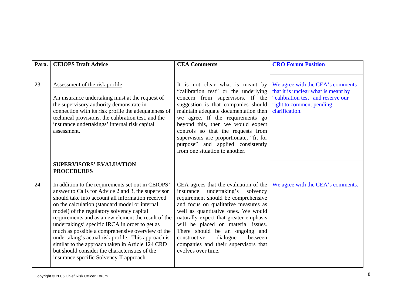| Para. | <b>CEIOPS Draft Advice</b>                                                                                                                                                                                                                                                                                                                                                                                                                                                                                                                                                                                                         | <b>CEA Comments</b>                                                                                                                                                                                                                                                                                                                                                                                                          | <b>CRO Forum Position</b>                                                                                                                                   |
|-------|------------------------------------------------------------------------------------------------------------------------------------------------------------------------------------------------------------------------------------------------------------------------------------------------------------------------------------------------------------------------------------------------------------------------------------------------------------------------------------------------------------------------------------------------------------------------------------------------------------------------------------|------------------------------------------------------------------------------------------------------------------------------------------------------------------------------------------------------------------------------------------------------------------------------------------------------------------------------------------------------------------------------------------------------------------------------|-------------------------------------------------------------------------------------------------------------------------------------------------------------|
|       |                                                                                                                                                                                                                                                                                                                                                                                                                                                                                                                                                                                                                                    |                                                                                                                                                                                                                                                                                                                                                                                                                              |                                                                                                                                                             |
| 23    | Assessment of the risk profile<br>An insurance undertaking must at the request of<br>the supervisory authority demonstrate in<br>connection with its risk profile the adequateness of<br>technical provisions, the calibration test, and the<br>insurance undertakings' internal risk capital<br>assessment.                                                                                                                                                                                                                                                                                                                       | It is not clear what is meant by<br>"calibration test" or the underlying<br>concern from supervisors. If the<br>suggestion is that companies should<br>maintain adequate documentation then<br>we agree. If the requirements go<br>beyond this, then we would expect<br>controls so that the requests from<br>supervisors are proportionate, "fit for<br>purpose" and applied consistently<br>from one situation to another. | We agree with the CEA's comments<br>that it is unclear what is meant by<br>"calibration test" and reserve our<br>right to comment pending<br>clarification. |
|       | <b>SUPERVISORS' EVALUATION</b><br><b>PROCEDURES</b>                                                                                                                                                                                                                                                                                                                                                                                                                                                                                                                                                                                |                                                                                                                                                                                                                                                                                                                                                                                                                              |                                                                                                                                                             |
| 24    | In addition to the requirements set out in CEIOPS'<br>answer to Calls for Advice 2 and 3, the supervisor<br>should take into account all information received<br>on the calculation (standard model or internal<br>model) of the regulatory solvency capital<br>requirements and as a new element the result of the<br>undertakings' specific IRCA in order to get as<br>much as possible a comprehensive overview of the<br>undertaking's actual risk profile. This approach is<br>similar to the approach taken in Article 124 CRD<br>but should consider the characteristics of the<br>insurance specific Solvency II approach. | CEA agrees that the evaluation of the<br>undertaking's solvency<br>insurance<br>requirement should be comprehensive<br>and focus on qualitative measures as<br>well as quantitative ones. We would<br>naturally expect that greater emphasis<br>will be placed on material issues.<br>There should be an ongoing and<br>constructive<br>dialogue<br>between<br>companies and their supervisors that<br>evolves over time.    | We agree with the CEA's comments.                                                                                                                           |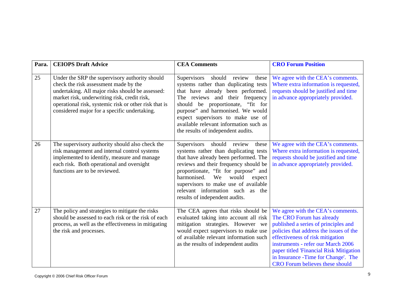| Para. | <b>CEIOPS Draft Advice</b>                                                                                                                                                                                                                                                                           | <b>CEA Comments</b>                                                                                                                                                                                                                                                                                                                                            | <b>CRO Forum Position</b>                                                                                                                                                                                                                                                                                                                               |
|-------|------------------------------------------------------------------------------------------------------------------------------------------------------------------------------------------------------------------------------------------------------------------------------------------------------|----------------------------------------------------------------------------------------------------------------------------------------------------------------------------------------------------------------------------------------------------------------------------------------------------------------------------------------------------------------|---------------------------------------------------------------------------------------------------------------------------------------------------------------------------------------------------------------------------------------------------------------------------------------------------------------------------------------------------------|
| 25    | Under the SRP the supervisory authority should<br>check the risk assessment made by the<br>undertaking. All major risks should be assessed:<br>market risk, underwriting risk, credit risk,<br>operational risk, systemic risk or other risk that is<br>considered major for a specific undertaking. | Supervisors<br>should review<br>these<br>systems rather than duplicating tests<br>that have already been performed.<br>The reviews and their frequency<br>should be proportionate, "fit for<br>purpose" and harmonised. We would<br>expect supervisors to make use of<br>available relevant information such as<br>the results of independent audits.          | We agree with the CEA's comments.<br>Where extra information is requested,<br>requests should be justified and time<br>in advance appropriately provided.                                                                                                                                                                                               |
| 26    | The supervisory authority should also check the<br>risk management and internal control systems<br>implemented to identify, measure and manage<br>each risk. Both operational and oversight<br>functions are to be reviewed.                                                                         | should review<br>Supervisors<br>these<br>systems rather than duplicating tests<br>that have already been performed. The<br>reviews and their frequency should be<br>proportionate, "fit for purpose" and<br>harmonised.<br>We<br>would<br>expect<br>supervisors to make use of available<br>relevant information such as the<br>results of independent audits. | We agree with the CEA's comments.<br>Where extra information is requested,<br>requests should be justified and time<br>in advance appropriately provided.                                                                                                                                                                                               |
| 27    | The policy and strategies to mitigate the risks<br>should be assessed to each risk or the risk of each<br>process, as well as the effectiveness in mitigating<br>the risk and processes.                                                                                                             | The CEA agrees that risks should be<br>evaluated taking into account all risk<br>mitigation strategies. However we<br>would expect supervisors to make use<br>of available relevant information such<br>as the results of independent audits                                                                                                                   | We agree with the CEA's comments.<br>The CRO Forum has already<br>published a series of principles and<br>policies that address the issues of the<br>effectiveness of risk mitigation<br>instruments - refer our March 2006<br>paper titled 'Financial Risk Mitigation<br>in Insurance -Time for Change'. The<br><b>CRO</b> Forum believes these should |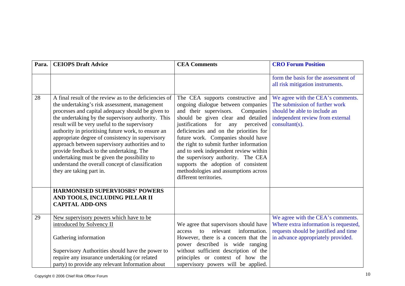| Para. | <b>CEIOPS Draft Advice</b>                                                                                                                                                                                                                                                                                                                                                                                                                                                                                                                                                                                    | <b>CEA Comments</b>                                                                                                                                                                                                                                                                                                                                                                                                                                                                                         | <b>CRO Forum Position</b>                                                                                                                                 |
|-------|---------------------------------------------------------------------------------------------------------------------------------------------------------------------------------------------------------------------------------------------------------------------------------------------------------------------------------------------------------------------------------------------------------------------------------------------------------------------------------------------------------------------------------------------------------------------------------------------------------------|-------------------------------------------------------------------------------------------------------------------------------------------------------------------------------------------------------------------------------------------------------------------------------------------------------------------------------------------------------------------------------------------------------------------------------------------------------------------------------------------------------------|-----------------------------------------------------------------------------------------------------------------------------------------------------------|
|       |                                                                                                                                                                                                                                                                                                                                                                                                                                                                                                                                                                                                               |                                                                                                                                                                                                                                                                                                                                                                                                                                                                                                             | form the basis for the assessment of<br>all risk mitigation instruments.                                                                                  |
| 28    | A final result of the review as to the deficiencies of<br>the undertaking's risk assessment, management<br>processes and capital adequacy should be given to<br>the undertaking by the supervisory authority. This<br>result will be very useful to the supervisory<br>authority in prioritising future work, to ensure an<br>appropriate degree of consistency in supervisory<br>approach between supervisory authorities and to<br>provide feedback to the undertaking. The<br>undertaking must be given the possibility to<br>understand the overall concept of classification<br>they are taking part in. | The CEA supports constructive and<br>ongoing dialogue between companies<br>and their supervisors.<br>Companies<br>should be given clear and detailed<br>justifications for any perceived<br>deficiencies and on the priorities for<br>future work. Companies should have<br>the right to submit further information<br>and to seek independent review within<br>the supervisory authority. The CEA<br>supports the adoption of consistent<br>methodologies and assumptions across<br>different territories. | We agree with the CEA's comments.<br>The submission of further work<br>should be able to include an<br>independent review from external<br>consultant(s). |
|       | <b>HARMONISED SUPERVIOSRS' POWERS</b><br>AND TOOLS, INCLUDING PILLAR II<br><b>CAPITAL ADD-ONS</b>                                                                                                                                                                                                                                                                                                                                                                                                                                                                                                             |                                                                                                                                                                                                                                                                                                                                                                                                                                                                                                             |                                                                                                                                                           |
| 29    | New supervisory powers which have to be<br>introduced by Solvency II<br>Gathering information<br>Supervisory Authorities should have the power to<br>require any insurance undertaking (or related<br>party) to provide any relevant Information about                                                                                                                                                                                                                                                                                                                                                        | We agree that supervisors should have<br>information.<br>relevant<br>access<br>$\mathbf{f}$<br>However, there is a concern that the<br>power described is wide ranging<br>without sufficient description of the<br>principles or context of how the<br>supervisory powers will be applied.                                                                                                                                                                                                                  | We agree with the CEA's comments.<br>Where extra information is requested,<br>requests should be justified and time<br>in advance appropriately provided. |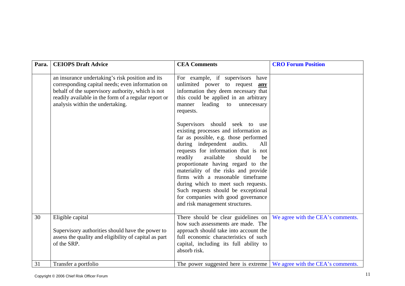| Para. | <b>CEIOPS Draft Advice</b>                                                                                                                                                                                                                            | <b>CEA Comments</b>                                                                                                                                                                                                                                                                                                                                                                                                                                                                                                                                                                                                                                                                                                                  | <b>CRO Forum Position</b>         |
|-------|-------------------------------------------------------------------------------------------------------------------------------------------------------------------------------------------------------------------------------------------------------|--------------------------------------------------------------------------------------------------------------------------------------------------------------------------------------------------------------------------------------------------------------------------------------------------------------------------------------------------------------------------------------------------------------------------------------------------------------------------------------------------------------------------------------------------------------------------------------------------------------------------------------------------------------------------------------------------------------------------------------|-----------------------------------|
|       | an insurance undertaking's risk position and its<br>corresponding capital needs; even information on<br>behalf of the supervisory authority, which is not<br>readily available in the form of a regular report or<br>analysis within the undertaking. | For example, if supervisors<br>have<br>unlimited power to request <b>any</b><br>information they deem necessary that<br>this could be applied in an arbitrary<br>leading<br>manner<br>to unnecessary<br>requests.<br>Supervisors should seek to use<br>existing processes and information as<br>far as possible, e.g. those performed<br>during independent audits.<br>All<br>requests for information that is not<br>readily<br>available<br>should<br>be<br>proportionate having regard to the<br>materiality of the risks and provide<br>firms with a reasonable timeframe<br>during which to meet such requests.<br>Such requests should be exceptional<br>for companies with good governance<br>and risk management structures. |                                   |
| 30    | Eligible capital                                                                                                                                                                                                                                      | There should be clear guidelines on                                                                                                                                                                                                                                                                                                                                                                                                                                                                                                                                                                                                                                                                                                  | We agree with the CEA's comments. |
|       | Supervisory authorities should have the power to<br>assess the quality and eligibility of capital as part<br>of the SRP.                                                                                                                              | how such assessments are made. The<br>approach should take into account the<br>full economic characteristics of such<br>capital, including its full ability to<br>absorb risk.                                                                                                                                                                                                                                                                                                                                                                                                                                                                                                                                                       |                                   |
| 31    | Transfer a portfolio                                                                                                                                                                                                                                  | The power suggested here is extreme $\vert$ We agree with the CEA's comments.                                                                                                                                                                                                                                                                                                                                                                                                                                                                                                                                                                                                                                                        |                                   |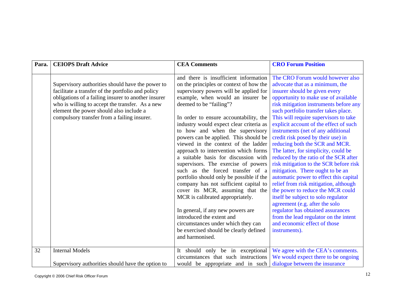| Para. | <b>CEIOPS Draft Advice</b>                          | <b>CEA Comments</b>                                                       | <b>CRO Forum Position</b>                                                  |
|-------|-----------------------------------------------------|---------------------------------------------------------------------------|----------------------------------------------------------------------------|
|       |                                                     |                                                                           |                                                                            |
|       |                                                     | and there is insufficient information                                     | The CRO Forum would however also                                           |
|       | Supervisory authorities should have the power to    | on the principles or context of how the                                   | advocate that as a minimum, the                                            |
|       | facilitate a transfer of the portfolio and policy   | supervisory powers will be applied for                                    | insurer should be given every                                              |
|       | obligations of a failing insurer to another insurer | example, when would an insurer be                                         | opportunity to make use of available                                       |
|       | who is willing to accept the transfer. As a new     | deemed to be "failing"?                                                   | risk mitigation instruments before any                                     |
|       | element the power should also include a             |                                                                           | such portfolio transfer takes place.                                       |
|       | compulsory transfer from a failing insurer.         | In order to ensure accountability, the                                    | This will require supervisors to take                                      |
|       |                                                     | industry would expect clear criteria as                                   | explicit account of the effect of such                                     |
|       |                                                     | to how and when the supervisory                                           | instruments (net of any additional                                         |
|       |                                                     | powers can be applied. This should be                                     | credit risk posed by their use) in                                         |
|       |                                                     | viewed in the context of the ladder                                       | reducing both the SCR and MCR.                                             |
|       |                                                     | approach to intervention which forms                                      | The latter, for simplicity, could be                                       |
|       |                                                     | a suitable basis for discussion with                                      | reduced by the ratio of the SCR after                                      |
|       |                                                     | supervisors. The exercise of powers                                       | risk mitigation to the SCR before risk                                     |
|       |                                                     | such as the forced transfer of a                                          | mitigation. There ought to be an                                           |
|       |                                                     | portfolio should only be possible if the                                  | automatic power to effect this capital                                     |
|       |                                                     | company has not sufficient capital to<br>cover its MCR, assuming that the | relief from risk mitigation, although<br>the power to reduce the MCR could |
|       |                                                     | MCR is calibrated appropriately.                                          | itself be subject to solo regulator                                        |
|       |                                                     |                                                                           | agreement (e.g. after the solo                                             |
|       |                                                     | In general, if any new powers are                                         | regulator has obtained assurances                                          |
|       |                                                     | introduced the extent and                                                 | from the lead regulator on the intent                                      |
|       |                                                     | circumstances under which they can                                        | and economic effect of those                                               |
|       |                                                     | be exercised should be clearly defined                                    | instruments).                                                              |
|       |                                                     | and harmonised.                                                           |                                                                            |
|       |                                                     |                                                                           |                                                                            |
| 32    | <b>Internal Models</b>                              | It should only be in exceptional                                          | We agree with the CEA's comments.                                          |
|       |                                                     | circumstances that such instructions                                      | We would expect there to be ongoing                                        |
|       | Supervisory authorities should have the option to   | would be appropriate and in such                                          | dialogue between the insurance                                             |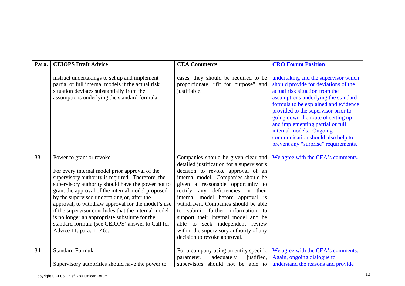| Para. | <b>CEIOPS Draft Advice</b>                                                                                                                                                                                                                                                                                                                                                                                                                                                                                                               | <b>CEA Comments</b>                                                                                                                                                                                                                                                                                                                                                                                                                                                                                         | <b>CRO Forum Position</b>                                                                                                                                                                                                                                                                                                                                                                                               |
|-------|------------------------------------------------------------------------------------------------------------------------------------------------------------------------------------------------------------------------------------------------------------------------------------------------------------------------------------------------------------------------------------------------------------------------------------------------------------------------------------------------------------------------------------------|-------------------------------------------------------------------------------------------------------------------------------------------------------------------------------------------------------------------------------------------------------------------------------------------------------------------------------------------------------------------------------------------------------------------------------------------------------------------------------------------------------------|-------------------------------------------------------------------------------------------------------------------------------------------------------------------------------------------------------------------------------------------------------------------------------------------------------------------------------------------------------------------------------------------------------------------------|
|       | instruct undertakings to set up and implement<br>partial or full internal models if the actual risk<br>situation deviates substantially from the<br>assumptions underlying the standard formula.                                                                                                                                                                                                                                                                                                                                         | cases, they should be required to be<br>proportionate, "fit for purpose" and<br>justifiable.                                                                                                                                                                                                                                                                                                                                                                                                                | undertaking and the supervisor which<br>should provide for deviations of the<br>actual risk situation from the<br>assumptions underlying the standard<br>formula to be explained and evidence<br>provided to the supervisor prior to<br>going down the route of setting up<br>and implementing partial or full<br>internal models. Ongoing<br>communication should also help to<br>prevent any "surprise" requirements. |
| 33    | Power to grant or revoke<br>For every internal model prior approval of the<br>supervisory authority is required. Therefore, the<br>supervisory authority should have the power not to<br>grant the approval of the internal model proposed<br>by the supervised undertaking or, after the<br>approval, to withdraw approval for the model's use<br>if the supervisor concludes that the internal model<br>is no longer an appropriate substitute for the<br>standard formula (see CEIOPS' answer to Call for<br>Advice 11, para. 11.46). | Companies should be given clear and<br>detailed justification for a supervisor's<br>decision to revoke approval of an<br>internal model. Companies should be<br>given a reasonable opportunity to<br>rectify any deficiencies in their<br>internal model before approval is<br>withdrawn. Companies should be able<br>to submit further information to<br>support their internal model and be<br>able to seek independent review<br>within the supervisory authority of any<br>decision to revoke approval. | We agree with the CEA's comments.                                                                                                                                                                                                                                                                                                                                                                                       |
| 34    | <b>Standard Formula</b>                                                                                                                                                                                                                                                                                                                                                                                                                                                                                                                  | For a company using an entity specific<br>justified,<br>parameter,<br>adequately                                                                                                                                                                                                                                                                                                                                                                                                                            | We agree with the CEA's comments.<br>Again, ongoing dialogue to                                                                                                                                                                                                                                                                                                                                                         |
|       | Supervisory authorities should have the power to                                                                                                                                                                                                                                                                                                                                                                                                                                                                                         | supervisors should not be able to                                                                                                                                                                                                                                                                                                                                                                                                                                                                           | understand the reasons and provide                                                                                                                                                                                                                                                                                                                                                                                      |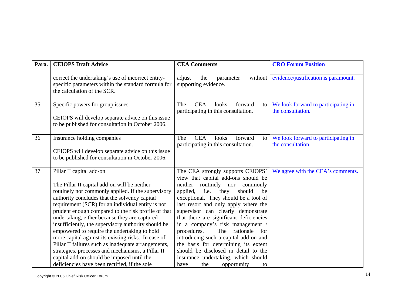| Para. | <b>CEIOPS Draft Advice</b>                                                                                                                                                                                                                                                                                                                                                                                                                                                                                                                                                                                                                                                                                            | <b>CEA Comments</b>                                                                                                                                                                                                                                                                                                                                                                                                                                                                                                                                                                                           | <b>CRO Forum Position</b>                                |
|-------|-----------------------------------------------------------------------------------------------------------------------------------------------------------------------------------------------------------------------------------------------------------------------------------------------------------------------------------------------------------------------------------------------------------------------------------------------------------------------------------------------------------------------------------------------------------------------------------------------------------------------------------------------------------------------------------------------------------------------|---------------------------------------------------------------------------------------------------------------------------------------------------------------------------------------------------------------------------------------------------------------------------------------------------------------------------------------------------------------------------------------------------------------------------------------------------------------------------------------------------------------------------------------------------------------------------------------------------------------|----------------------------------------------------------|
|       | correct the undertaking's use of incorrect entity-<br>specific parameters within the standard formula for<br>the calculation of the SCR.                                                                                                                                                                                                                                                                                                                                                                                                                                                                                                                                                                              | adjust<br>the<br>without  <br>parameter<br>supporting evidence.                                                                                                                                                                                                                                                                                                                                                                                                                                                                                                                                               | evidence/justification is paramount.                     |
| 35    | Specific powers for group issues<br>CEIOPS will develop separate advice on this issue<br>to be published for consultation in October 2006.                                                                                                                                                                                                                                                                                                                                                                                                                                                                                                                                                                            | <b>CEA</b><br>The<br>looks<br>forward<br>to<br>participating in this consultation.                                                                                                                                                                                                                                                                                                                                                                                                                                                                                                                            | We look forward to participating in<br>the consultation. |
| 36    | Insurance holding companies<br>CEIOPS will develop separate advice on this issue<br>to be published for consultation in October 2006.                                                                                                                                                                                                                                                                                                                                                                                                                                                                                                                                                                                 | The<br><b>CEA</b><br>looks<br>forward<br>to<br>participating in this consultation.                                                                                                                                                                                                                                                                                                                                                                                                                                                                                                                            | We look forward to participating in<br>the consultation. |
| 37    | Pillar II capital add-on<br>The Pillar II capital add-on will be neither<br>routinely nor commonly applied. If the supervisory<br>authority concludes that the solvency capital<br>requirement (SCR) for an individual entity is not<br>prudent enough compared to the risk profile of that<br>undertaking, either because they are captured<br>insufficiently, the supervisory authority should be<br>empowered to require the undertaking to hold<br>more capital against its existing risks. In case of<br>Pillar II failures such as inadequate arrangements,<br>strategies, processes and mechanisms, a Pillar II<br>capital add-on should be imposed until the<br>deficiencies have been rectified, if the sole | The CEA strongly supports CEIOPS'<br>view that capital add-ons should be<br>routinely nor<br>neither<br>commonly<br>applied,<br>they<br>should<br>i.e.<br>be<br>exceptional. They should be a tool of<br>last resort and only apply where the<br>supervisor can clearly demonstrate<br>that there are significant deficiencies<br>in a company's risk management /<br>procedures.<br>The rationale<br>for<br>introducing such a capital add-on and<br>the basis for determining its extent<br>should be disclosed in detail to the<br>insurance undertaking, which should<br>the<br>opportunity<br>have<br>to | We agree with the CEA's comments.                        |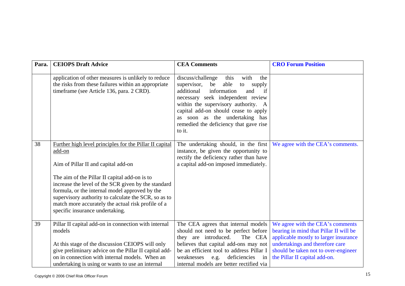| Para. | <b>CEIOPS Draft Advice</b>                                                                                                                                                                                                                                                                                                                                                       | <b>CEA Comments</b>                                                                                                                                                                                                                                                                                                                       | <b>CRO Forum Position</b>                                                                                                                                                                                                       |
|-------|----------------------------------------------------------------------------------------------------------------------------------------------------------------------------------------------------------------------------------------------------------------------------------------------------------------------------------------------------------------------------------|-------------------------------------------------------------------------------------------------------------------------------------------------------------------------------------------------------------------------------------------------------------------------------------------------------------------------------------------|---------------------------------------------------------------------------------------------------------------------------------------------------------------------------------------------------------------------------------|
|       | application of other measures is unlikely to reduce<br>the risks from these failures within an appropriate<br>timeframe (see Article 136, para. 2 CRD).                                                                                                                                                                                                                          | discuss/challenge<br>this<br>with<br>the<br>able<br>supervisor,<br>be<br>to<br>supply<br>information<br>additional<br>and<br>if<br>necessary seek independent review<br>within the supervisory authority. A<br>capital add-on should cease to apply<br>as soon as the undertaking has<br>remedied the deficiency that gave rise<br>to it. |                                                                                                                                                                                                                                 |
| 38    | Further high level principles for the Pillar II capital<br>add-on<br>Aim of Pillar II and capital add-on<br>The aim of the Pillar II capital add-on is to<br>increase the level of the SCR given by the standard<br>formula, or the internal model approved by the<br>supervisory authority to calculate the SCR, so as to<br>match more accurately the actual risk profile of a | The undertaking should, in the first<br>instance, be given the opportunity to<br>rectify the deficiency rather than have<br>a capital add-on imposed immediately.                                                                                                                                                                         | We agree with the CEA's comments.                                                                                                                                                                                               |
| 39    | specific insurance undertaking.<br>Pillar II capital add-on in connection with internal<br>models<br>At this stage of the discussion CEIOPS will only<br>give preliminary advice on the Pillar II capital add-<br>on in connection with internal models. When an<br>undertaking is using or wants to use an internal                                                             | The CEA agrees that internal models<br>should not need to be perfect before<br>they are introduced.<br>The CEA<br>believes that capital add-ons may not<br>be an efficient tool to address Pillar I<br>weaknesses<br>e.g. deficiencies<br>in<br>internal models are better rectified via                                                  | We agree with the CEA's comments<br>bearing in mind that Pillar II will be<br>applicable mostly to larger insurance<br>undertakings and therefore care<br>should be taken not to over-engineer<br>the Pillar II capital add-on. |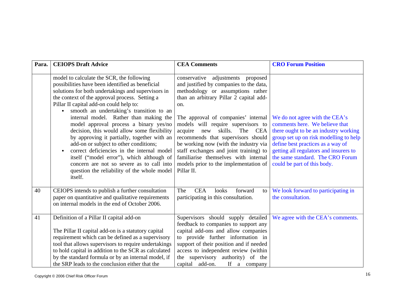| Para. | <b>CEIOPS Draft Advice</b>                                                                                                                                                                                                                                                                                                                                                                                                                                                                                                                                                                                                                                                                                                 | <b>CEA Comments</b>                                                                                                                                                                                                                                                                                                                                                                                                                                                                                                 | <b>CRO Forum Position</b>                                                                                                                                                                                                                                                                             |
|-------|----------------------------------------------------------------------------------------------------------------------------------------------------------------------------------------------------------------------------------------------------------------------------------------------------------------------------------------------------------------------------------------------------------------------------------------------------------------------------------------------------------------------------------------------------------------------------------------------------------------------------------------------------------------------------------------------------------------------------|---------------------------------------------------------------------------------------------------------------------------------------------------------------------------------------------------------------------------------------------------------------------------------------------------------------------------------------------------------------------------------------------------------------------------------------------------------------------------------------------------------------------|-------------------------------------------------------------------------------------------------------------------------------------------------------------------------------------------------------------------------------------------------------------------------------------------------------|
|       | model to calculate the SCR, the following<br>possibilities have been identified as beneficial<br>solutions for both undertakings and supervisors in<br>the context of the approval process. Setting a<br>Pillar II capital add-on could help to:<br>smooth an undertaking's transition to an<br>internal model. Rather than making the<br>model approval process a binary yes/no<br>decision, this would allow some flexibility<br>by approving it partially, together with an<br>add-on or subject to other conditions;<br>correct deficiencies in the internal model<br>itself ("model error"), which although of<br>concern are not so severe as to call into<br>question the reliability of the whole model<br>itself. | conservative adjustments proposed<br>and justified by companies to the data,<br>methodology or assumptions rather<br>than an arbitrary Pillar 2 capital add-<br>on.<br>The approval of companies' internal<br>models will require supervisors to<br>skills.<br>The<br>acquire<br>new<br>CEA<br>recommends that supervisors should<br>be working now (with the industry via<br>staff exchanges and joint training) to<br>familiarise themselves with internal<br>models prior to the implementation of<br>Pillar II. | We do not agree with the CEA's<br>comments here. We believe that<br>there ought to be an industry working<br>group set up on risk modelling to help<br>define best practices as a way of<br>getting all regulators and insurers to<br>the same standard. The CRO Forum<br>could be part of this body. |
| 40    | CEIOPS intends to publish a further consultation<br>paper on quantitative and qualitative requirements<br>on internal models in the end of October 2006.                                                                                                                                                                                                                                                                                                                                                                                                                                                                                                                                                                   | <b>CEA</b><br>The<br>looks<br>forward<br>to<br>participating in this consultation.                                                                                                                                                                                                                                                                                                                                                                                                                                  | We look forward to participating in<br>the consultation.                                                                                                                                                                                                                                              |
| 41    | Definition of a Pillar II capital add-on<br>The Pillar II capital add-on is a statutory capital<br>requirement which can be defined as a supervisory<br>tool that allows supervisors to require undertakings<br>to hold capital in addition to the SCR as calculated<br>by the standard formula or by an internal model, if<br>the SRP leads to the conclusion either that the                                                                                                                                                                                                                                                                                                                                             | Supervisors should supply detailed<br>feedback to companies to support any<br>capital add-ons and allow companies<br>to provide further information in<br>support of their position and if needed<br>access to independent review (within<br>the supervisory authority) of the<br>capital add-on.<br>If a company                                                                                                                                                                                                   | We agree with the CEA's comments.                                                                                                                                                                                                                                                                     |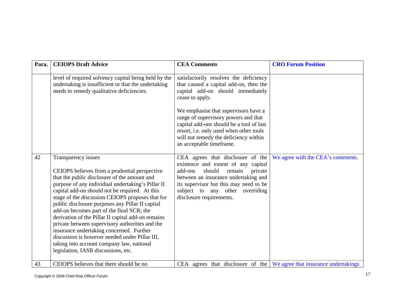| Para. | <b>CEIOPS Draft Advice</b>                                                                                                                                                                                                                                                                                                                                                                                                                                                                                                                                                                                                                                                  | <b>CEA Comments</b>                                                                                                                                                                                                                                                 | <b>CRO Forum Position</b>                                                                   |
|-------|-----------------------------------------------------------------------------------------------------------------------------------------------------------------------------------------------------------------------------------------------------------------------------------------------------------------------------------------------------------------------------------------------------------------------------------------------------------------------------------------------------------------------------------------------------------------------------------------------------------------------------------------------------------------------------|---------------------------------------------------------------------------------------------------------------------------------------------------------------------------------------------------------------------------------------------------------------------|---------------------------------------------------------------------------------------------|
|       | level of required solvency capital being held by the<br>undertaking is insufficient or that the undertaking<br>needs to remedy qualitative deficiencies.                                                                                                                                                                                                                                                                                                                                                                                                                                                                                                                    | satisfactorily resolves the deficiency<br>that caused a capital add-on, then the<br>capital add-on should immediately<br>cease to apply.                                                                                                                            |                                                                                             |
|       |                                                                                                                                                                                                                                                                                                                                                                                                                                                                                                                                                                                                                                                                             | We emphasise that supervisors have a<br>range of supervisory powers and that<br>capital add-ons should be a tool of last<br>resort, i.e. only used when other tools<br>will not remedy the deficiency within<br>an acceptable timeframe.                            |                                                                                             |
| 42    | Transparency issues<br>CEIOPS believes from a prudential perspective<br>that the public disclosure of the amount and<br>purpose of any individual undertaking's Pillar II<br>capital add-on should not be required. At this<br>stage of the discussion CEIOPS proposes that for<br>public disclosure purposes any Pillar II capital<br>add-on becomes part of the final SCR; the<br>derivation of the Pillar II capital add-on remains<br>private between supervisory authorities and the<br>insurance undertaking concerned. Further<br>discussion is however needed under Pillar III,<br>taking into account company law, national<br>legislation, IASB discussions, etc. | CEA agrees that disclosure of the<br>existence and extent of any capital<br>remain<br>add-ons<br>should<br>private<br>between an insurance undertaking and<br>its supervisor but this may need to be<br>subject to any other overriding<br>disclosure requirements. | We agree with the CEA's comments.                                                           |
| 43    | CEIOPS believes that there should be no                                                                                                                                                                                                                                                                                                                                                                                                                                                                                                                                                                                                                                     |                                                                                                                                                                                                                                                                     | CEA agrees that disclosure of the $\sqrt{\frac{1}{1}}$ We agree that insurance undertakings |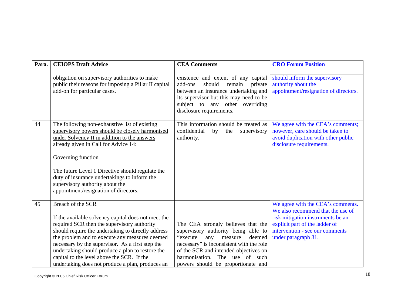| Para. | <b>CEIOPS Draft Advice</b>                                                                                                                                                                                                                                                                                                                                                                                                                | <b>CEA Comments</b>                                                                                                                                                                                                                                                                | <b>CRO Forum Position</b>                                                                                                                                                                               |
|-------|-------------------------------------------------------------------------------------------------------------------------------------------------------------------------------------------------------------------------------------------------------------------------------------------------------------------------------------------------------------------------------------------------------------------------------------------|------------------------------------------------------------------------------------------------------------------------------------------------------------------------------------------------------------------------------------------------------------------------------------|---------------------------------------------------------------------------------------------------------------------------------------------------------------------------------------------------------|
|       | obligation on supervisory authorities to make<br>public their reasons for imposing a Pillar II capital<br>add-on for particular cases.                                                                                                                                                                                                                                                                                                    | existence and extent of any capital<br>should remain<br>add-ons<br>private<br>between an insurance undertaking and<br>its supervisor but this may need to be<br>subject to any other overriding<br>disclosure requirements.                                                        | should inform the supervisory<br>authority about the<br>appointment/resignation of directors.                                                                                                           |
| 44    | The following non-exhaustive list of existing<br>supervisory powers should be closely harmonised<br>under Solvency II in addition to the answers<br>already given in Call for Advice 14:                                                                                                                                                                                                                                                  | This information should be treated as<br>confidential<br>by<br>the<br>supervisory<br>authority.                                                                                                                                                                                    | We agree with the CEA's comments;<br>however, care should be taken to<br>avoid duplication with other public<br>disclosure requirements.                                                                |
|       | Governing function<br>The future Level 1 Directive should regulate the<br>duty of insurance undertakings to inform the<br>supervisory authority about the<br>appointment/resignation of directors.                                                                                                                                                                                                                                        |                                                                                                                                                                                                                                                                                    |                                                                                                                                                                                                         |
| 45    | Breach of the SCR<br>If the available solvency capital does not meet the<br>required SCR then the supervisory authority<br>should require the undertaking to directly address<br>the problem and to execute any measures deemed<br>necessary by the supervisor. As a first step the<br>undertaking should produce a plan to restore the<br>capital to the level above the SCR. If the<br>undertaking does not produce a plan, produces an | The CEA strongly believes that the<br>supervisory authority being able to<br>"execute"<br>any<br>measure<br>deemed<br>necessary" is inconsistent with the role<br>of the SCR and intended objectives on<br>harmonisation.<br>The use of such<br>powers should be proportionate and | We agree with the CEA's comments.<br>We also recommend that the use of<br>risk mitigation instruments be an<br>explicit part of the ladder of<br>intervention - see our comments<br>under paragraph 31. |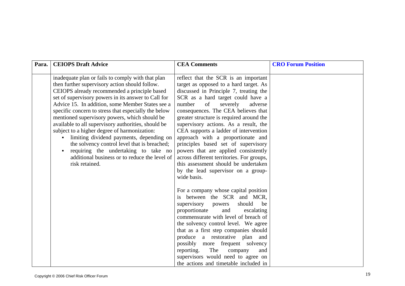| Para. | <b>CEIOPS Draft Advice</b>                                                                                                                                                                                                                                                                                                                                                                                                                                                                                                                                                                                                                                                            | <b>CEA Comments</b>                                                                                                                                                                                                                                                                                                                                                                                                                                                                                                                                                                                                                     | <b>CRO Forum Position</b> |
|-------|---------------------------------------------------------------------------------------------------------------------------------------------------------------------------------------------------------------------------------------------------------------------------------------------------------------------------------------------------------------------------------------------------------------------------------------------------------------------------------------------------------------------------------------------------------------------------------------------------------------------------------------------------------------------------------------|-----------------------------------------------------------------------------------------------------------------------------------------------------------------------------------------------------------------------------------------------------------------------------------------------------------------------------------------------------------------------------------------------------------------------------------------------------------------------------------------------------------------------------------------------------------------------------------------------------------------------------------------|---------------------------|
|       | inadequate plan or fails to comply with that plan<br>then further supervisory action should follow.<br>CEIOPS already recommended a principle based<br>set of supervisory powers in its answer to Call for<br>Advice 15. In addition, some Member States see a<br>specific concern to stress that especially the below<br>mentioned supervisory powers, which should be<br>available to all supervisory authorities, should be<br>subject to a higher degree of harmonization:<br>limiting dividend payments, depending on<br>the solvency control level that is breached;<br>requiring the undertaking to take no<br>additional business or to reduce the level of<br>risk retained. | reflect that the SCR is an important<br>target as opposed to a hard target. As<br>discussed in Principle 7, treating the<br>SCR as a hard target could have a<br>number<br>of<br>severely<br>adverse<br>consequences. The CEA believes that<br>greater structure is required around the<br>supervisory actions. As a result, the<br>CEA supports a ladder of intervention<br>approach with a proportionate and<br>principles based set of supervisory<br>powers that are applied consistently<br>across different territories. For groups,<br>this assessment should be undertaken<br>by the lead supervisor on a group-<br>wide basis. |                           |
|       |                                                                                                                                                                                                                                                                                                                                                                                                                                                                                                                                                                                                                                                                                       | For a company whose capital position<br>is between the SCR and MCR,<br>should<br>supervisory<br>be<br>powers<br>proportionate<br>and<br>escalating<br>commensurate with level of breach of<br>the solvency control level. We agree<br>that as a first step companies should<br>produce a restorative plan<br>and<br>possibly more frequent solvency<br>The<br>reporting.<br>company<br>and<br>supervisors would need to agree on<br>the actions and timetable included in                                                                                                                                                               |                           |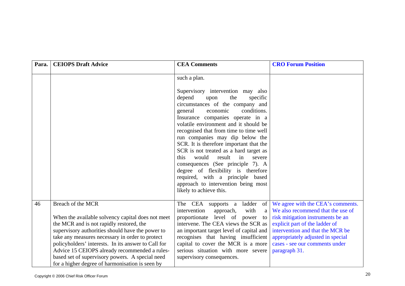| Para. | <b>CEIOPS Draft Advice</b>                                                                                                                                                                                                                                                                                                                                                                                                              | <b>CEA Comments</b>                                                                                                                                                                                                                                                                                                                                                                                                                                                                                                                                                                                                                         | <b>CRO Forum Position</b>                                                                                                                                                                                                                                                 |
|-------|-----------------------------------------------------------------------------------------------------------------------------------------------------------------------------------------------------------------------------------------------------------------------------------------------------------------------------------------------------------------------------------------------------------------------------------------|---------------------------------------------------------------------------------------------------------------------------------------------------------------------------------------------------------------------------------------------------------------------------------------------------------------------------------------------------------------------------------------------------------------------------------------------------------------------------------------------------------------------------------------------------------------------------------------------------------------------------------------------|---------------------------------------------------------------------------------------------------------------------------------------------------------------------------------------------------------------------------------------------------------------------------|
|       |                                                                                                                                                                                                                                                                                                                                                                                                                                         | such a plan.<br>Supervisory intervention may also<br>depend<br>the<br>specific<br>upon<br>circumstances of the company and<br>conditions.<br>general<br>economic<br>Insurance companies operate in a<br>volatile environment and it should be<br>recognised that from time to time well<br>run companies may dip below the<br>SCR. It is therefore important that the<br>SCR is not treated as a hard target as<br>would<br>this<br>result<br>in<br>severe<br>consequences (See principle 7). A<br>degree of flexibility is therefore<br>required, with a principle based<br>approach to intervention being most<br>likely to achieve this. |                                                                                                                                                                                                                                                                           |
| 46    | Breach of the MCR<br>When the available solvency capital does not meet<br>the MCR and is not rapidly restored, the<br>supervisory authorities should have the power to<br>take any measures necessary in order to protect<br>policyholders' interests. In its answer to Call for<br>Advice 15 CEIOPS already recommended a rules-<br>based set of supervisory powers. A special need<br>for a higher degree of harmonisation is seen by | ladder<br>The CEA supports a<br>of<br>intervention<br>with<br>approach,<br>a<br>proportionate level of power<br>to<br>intervene. The CEA views the SCR as<br>an important target level of capital and<br>recognises that having insufficient<br>capital to cover the MCR is a more<br>serious situation with more severe<br>supervisory consequences.                                                                                                                                                                                                                                                                                       | We agree with the CEA's comments.<br>We also recommend that the use of<br>risk mitigation instruments be an<br>explicit part of the ladder of<br>intervention and that the MCR be<br>appropriately adjusted in special<br>cases - see our comments under<br>paragraph 31. |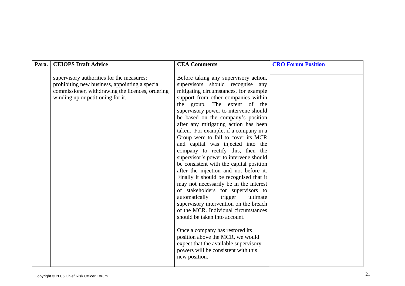| Para. | <b>CEIOPS Draft Advice</b>                                                                                                                                                           | <b>CEA Comments</b>                                                                                                                                                                                                                                                                                                                                                                                                                                                                                                                                                                                                                                                                                                                                                                                                                                                                                                                                                                                                                                                     | <b>CRO Forum Position</b> |
|-------|--------------------------------------------------------------------------------------------------------------------------------------------------------------------------------------|-------------------------------------------------------------------------------------------------------------------------------------------------------------------------------------------------------------------------------------------------------------------------------------------------------------------------------------------------------------------------------------------------------------------------------------------------------------------------------------------------------------------------------------------------------------------------------------------------------------------------------------------------------------------------------------------------------------------------------------------------------------------------------------------------------------------------------------------------------------------------------------------------------------------------------------------------------------------------------------------------------------------------------------------------------------------------|---------------------------|
|       | supervisory authorities for the measures:<br>prohibiting new business, appointing a special<br>commissioner, withdrawing the licences, ordering<br>winding up or petitioning for it. | Before taking any supervisory action,<br>supervisors should recognise any<br>mitigating circumstances, for example<br>support from other companies within<br>the group. The extent of the<br>supervisory power to intervene should<br>be based on the company's position<br>after any mitigating action has been<br>taken. For example, if a company in a<br>Group were to fail to cover its MCR<br>and capital was injected into the<br>company to rectify this, then the<br>supervisor's power to intervene should<br>be consistent with the capital position<br>after the injection and not before it.<br>Finally it should be recognised that it<br>may not necessarily be in the interest<br>of stakeholders for supervisors to<br>automatically<br>trigger<br>ultimate<br>supervisory intervention on the breach<br>of the MCR. Individual circumstances<br>should be taken into account.<br>Once a company has restored its<br>position above the MCR, we would<br>expect that the available supervisory<br>powers will be consistent with this<br>new position. |                           |